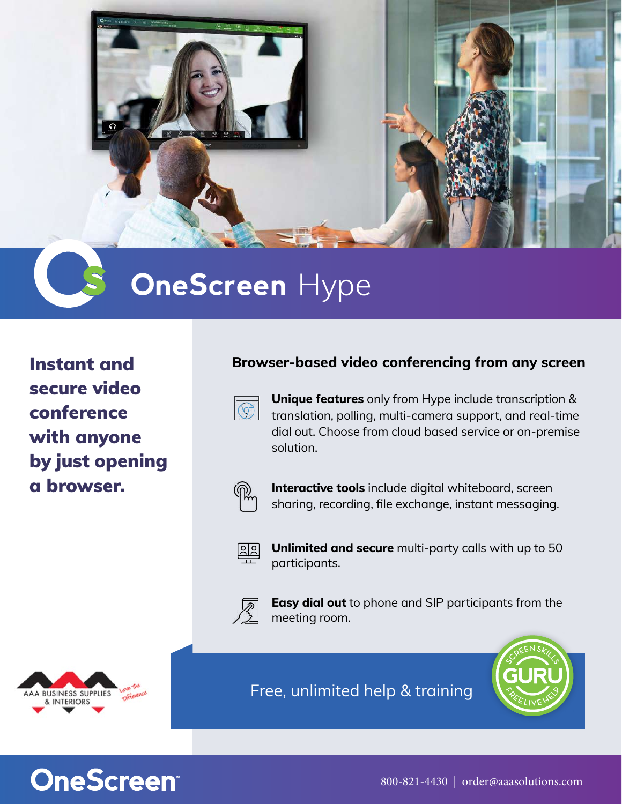

## **OneScreen** Hype

`

Instant and secure video conference with anyone by just opening a browser.

## **Browser-based video conferencing from any screen**



**Unique features** only from Hype include transcription & translation, polling, multi-camera support, and real-time dial out. Choose from cloud based service or on-premise solution.



**Interactive tools** include digital whiteboard, screen sharing, recording, file exchange, instant messaging.



**Unlimited and secure** multi-party calls with up to 50 participants.



**Easy dial out** to phone and SIP participants from the meeting room.



Free, unlimited help & training